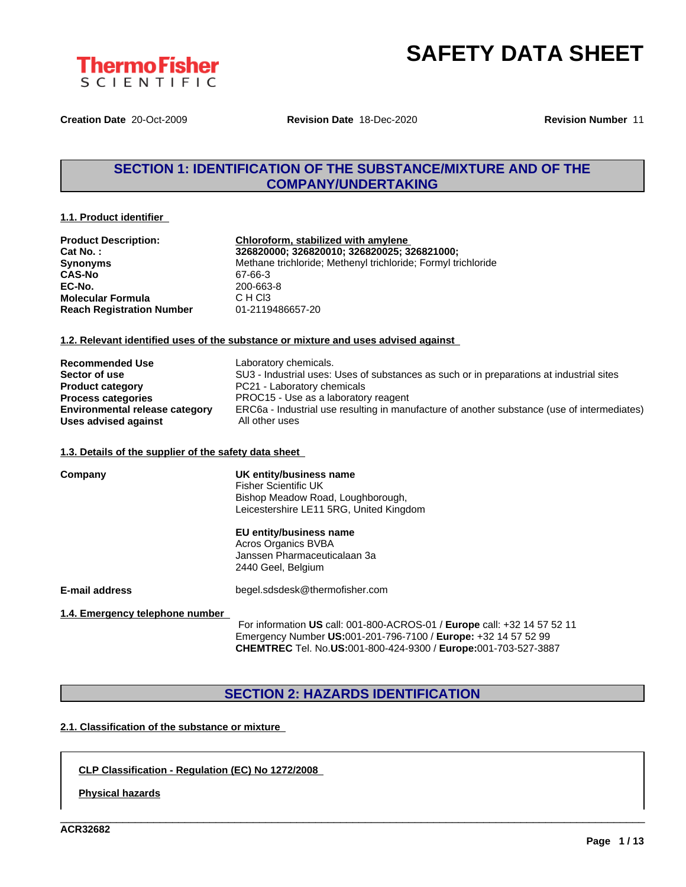

**Creation Date** 20-Oct-2009 **Revision Date** 18-Dec-2020 **Revision Number** 11

## **SECTION 1: IDENTIFICATION OF THE SUBSTANCE/MIXTURE AND OF THE COMPANY/UNDERTAKING**

#### **1.1. Product identifier**

| <b>Product Description:</b>      | Chloroform, stabilized with amylene                           |
|----------------------------------|---------------------------------------------------------------|
| Cat No. :                        | 326820000; 326820010; 326820025; 326821000;                   |
| Synonyms                         | Methane trichloride; Methenyl trichloride; Formyl trichloride |
| CAS-No                           | 67-66-3                                                       |
| EC-No.                           | 200-663-8                                                     |
| Molecular Formula                | C H CI3                                                       |
| <b>Reach Registration Number</b> | 01-2119486657-20                                              |
|                                  |                                                               |

#### **1.2. Relevant identified uses of the substance or mixture and uses advised against**

| <b>Recommended Use</b>                | Laboratory chemicals.                                                                       |
|---------------------------------------|---------------------------------------------------------------------------------------------|
| Sector of use                         | SU3 - Industrial uses: Uses of substances as such or in preparations at industrial sites    |
| <b>Product category</b>               | PC21 - Laboratory chemicals                                                                 |
| <b>Process categories</b>             | PROC15 - Use as a laboratory reagent                                                        |
| <b>Environmental release category</b> | ERC6a - Industrial use resulting in manufacture of another substance (use of intermediates) |
| Uses advised against                  | All other uses                                                                              |

#### **1.3. Details of the supplier of the safety data sheet**

| Company                         | UK entity/business name<br><b>Fisher Scientific UK</b><br>Bishop Meadow Road, Loughborough,<br>Leicestershire LE11 5RG, United Kingdom |
|---------------------------------|----------------------------------------------------------------------------------------------------------------------------------------|
|                                 | EU entity/business name<br>Acros Organics BVBA<br>Janssen Pharmaceuticalaan 3a<br>2440 Geel, Belgium                                   |
| <b>E-mail address</b>           | begel.sdsdesk@thermofisher.com                                                                                                         |
| 1.4. Emergency telephone number | For information US call: 001-800-ACROS-01 / Europe call: +32 14 57 52 11                                                               |

For information **US** call: 001-800-ACROS-01 / **Europe** call: +32 14 57 52 11 Emergency Number **US:**001-201-796-7100 / **Europe:** +32 14 57 52 99 **CHEMTREC** Tel. No.**US:**001-800-424-9300 / **Europe:**001-703-527-3887

\_\_\_\_\_\_\_\_\_\_\_\_\_\_\_\_\_\_\_\_\_\_\_\_\_\_\_\_\_\_\_\_\_\_\_\_\_\_\_\_\_\_\_\_\_\_\_\_\_\_\_\_\_\_\_\_\_\_\_\_\_\_\_\_\_\_\_\_\_\_\_\_\_\_\_\_\_\_\_\_\_\_\_\_\_\_\_\_\_\_\_\_\_\_

## **SECTION 2: HAZARDS IDENTIFICATION**

### **2.1. Classification of the substance or mixture**

#### **CLP Classification - Regulation (EC) No 1272/2008**

**Physical hazards**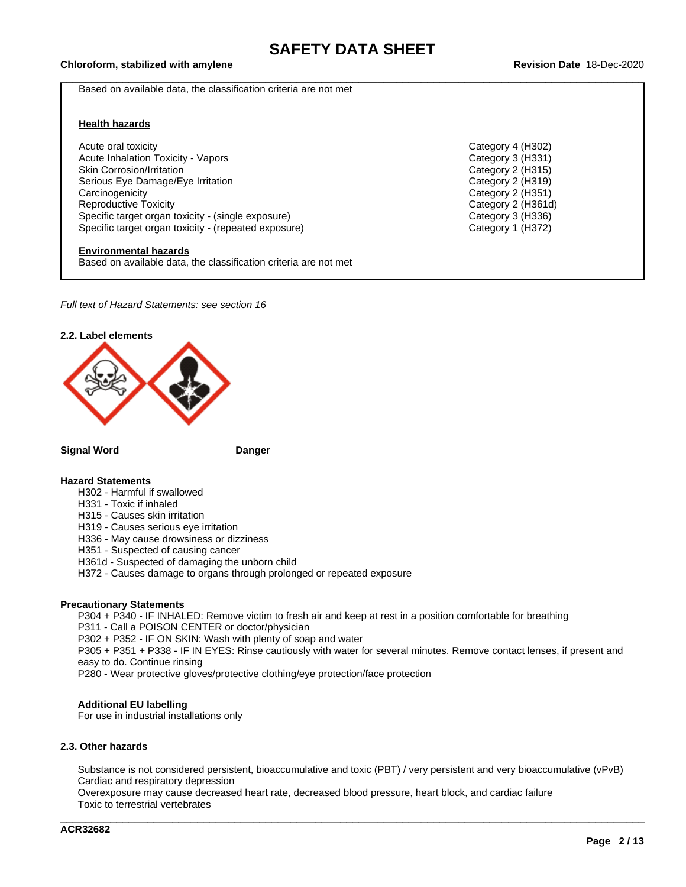## \_\_\_\_\_\_\_\_\_\_\_\_\_\_\_\_\_\_\_\_\_\_\_\_\_\_\_\_\_\_\_\_\_\_\_\_\_\_\_\_\_\_\_\_\_\_\_\_\_\_\_\_\_\_\_\_\_\_\_\_\_\_\_\_\_\_\_\_\_\_\_\_\_\_\_\_\_\_\_\_\_\_\_\_\_\_\_\_\_\_\_\_\_\_ **Chloroform, stabilized with amylene Revision Date** 18-Dec-2020

Based on available data, the classification criteria are not met

#### **Health hazards**

Acute oral toxicity Category 4 (H302) Acute Inhalation Toxicity - Vapors Category 3 (H331) Skin Corrosion/Irritation Category 2 (H315)<br>
Serious Eye Damage/Eye Irritation Category 2 (H319) Serious Eye Damage/Eye Irritation Carcinogenicity Carcinogenicity Category 2 (H351)<br>
Reproductive Toxicity Category 2 (H361d Specific target organ toxicity - (single exposure) Category 3 (H336) Specific target organ toxicity - (repeated exposure) Category 1 (H372)

#### **Environmental hazards**

Based on available data, the classification criteria are not met

*Full text of Hazard Statements: see section 16*



#### **Signal Word Danger**

#### **Hazard Statements**

- H302 Harmful if swallowed
- H331 Toxic if inhaled
- H315 Causes skin irritation
- H319 Causes serious eye irritation
- H336 May cause drowsiness or dizziness
- H351 Suspected of causing cancer
- H361d Suspected of damaging the unborn child
- H372 Causes damage to organs through prolonged or repeated exposure

#### **Precautionary Statements**

P304 + P340 - IF INHALED: Remove victim to fresh air and keep at rest in a position comfortable for breathing P311 - Call a POISON CENTER or doctor/physician

P302 + P352 - IF ON SKIN: Wash with plenty of soap and water

P305 + P351 + P338 - IF IN EYES: Rinse cautiously with water for several minutes. Remove contact lenses, if present and easy to do. Continue rinsing

P280 - Wear protective gloves/protective clothing/eye protection/face protection

#### **Additional EU labelling**

For use in industrial installations only

#### **2.3. Other hazards**

Substance is not considered persistent, bioaccumulative and toxic (PBT) / very persistent and very bioaccumulative (vPvB) Cardiac and respiratory depression

\_\_\_\_\_\_\_\_\_\_\_\_\_\_\_\_\_\_\_\_\_\_\_\_\_\_\_\_\_\_\_\_\_\_\_\_\_\_\_\_\_\_\_\_\_\_\_\_\_\_\_\_\_\_\_\_\_\_\_\_\_\_\_\_\_\_\_\_\_\_\_\_\_\_\_\_\_\_\_\_\_\_\_\_\_\_\_\_\_\_\_\_\_\_

Overexposure may cause decreased heart rate, decreased blood pressure, heart block, and cardiac failure Toxic to terrestrial vertebrates

Category 2 (H361d)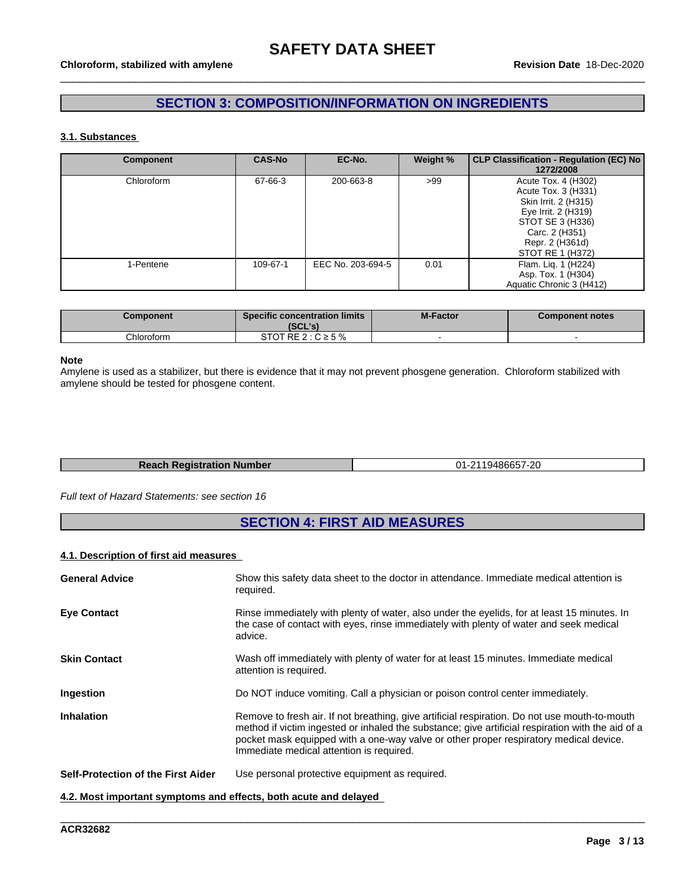## **SECTION 3: COMPOSITION/INFORMATION ON INGREDIENTS**

#### **3.1. Substances**

| <b>Component</b> | <b>CAS-No</b> | EC-No.            | Weight % | CLP Classification - Regulation (EC) No<br>1272/2008                                                                                                                   |
|------------------|---------------|-------------------|----------|------------------------------------------------------------------------------------------------------------------------------------------------------------------------|
| Chloroform       | 67-66-3       | 200-663-8         | >99      | Acute Tox. 4 (H302)<br>Acute Tox. 3 (H331)<br>Skin Irrit. 2 (H315)<br>Eye Irrit. 2 (H319)<br>STOT SE 3 (H336)<br>Carc. 2 (H351)<br>Repr. 2 (H361d)<br>STOT RE 1 (H372) |
| 1-Pentene        | 109-67-1      | EEC No. 203-694-5 | 0.01     | Flam. Lig. 1 (H224)<br>Asp. Tox. 1 (H304)<br>Aquatic Chronic 3 (H412)                                                                                                  |

| Component  | <b>Specific concentration limits</b><br>(SCL's) | <b>M-Factor</b> | <b>Component notes</b> |
|------------|-------------------------------------------------|-----------------|------------------------|
| Chloroform | $2: C \geq 5\%$<br>RE 2<br>31 U                 |                 |                        |

#### **Note**

Amylene is used as a stabilizer, but there is evidence that it may not prevent phosgene generation.Chloroform stabilized with amylene should be tested for phosgene content.

| <b>Reach Registration Number</b> | 01-2119486657-20 |
|----------------------------------|------------------|

#### *Full text of Hazard Statements: see section 16*

## **SECTION 4: FIRST AID MEASURES**

#### **4.1. Description of first aid measures**

| <b>General Advice</b>                                            | Show this safety data sheet to the doctor in attendance. Immediate medical attention is<br>required.                                                                                                                                                                                                                                    |
|------------------------------------------------------------------|-----------------------------------------------------------------------------------------------------------------------------------------------------------------------------------------------------------------------------------------------------------------------------------------------------------------------------------------|
| <b>Eye Contact</b>                                               | Rinse immediately with plenty of water, also under the eyelids, for at least 15 minutes. In<br>the case of contact with eyes, rinse immediately with plenty of water and seek medical<br>advice.                                                                                                                                        |
| <b>Skin Contact</b>                                              | Wash off immediately with plenty of water for at least 15 minutes. Immediate medical<br>attention is required.                                                                                                                                                                                                                          |
| Ingestion                                                        | Do NOT induce vomiting. Call a physician or poison control center immediately.                                                                                                                                                                                                                                                          |
| <b>Inhalation</b>                                                | Remove to fresh air. If not breathing, give artificial respiration. Do not use mouth-to-mouth<br>method if victim ingested or inhaled the substance; give artificial respiration with the aid of a<br>pocket mask equipped with a one-way valve or other proper respiratory medical device.<br>Immediate medical attention is required. |
| Self-Protection of the First Aider                               | Use personal protective equipment as required.                                                                                                                                                                                                                                                                                          |
| 4.2. Most important symptoms and effects, both acute and delayed |                                                                                                                                                                                                                                                                                                                                         |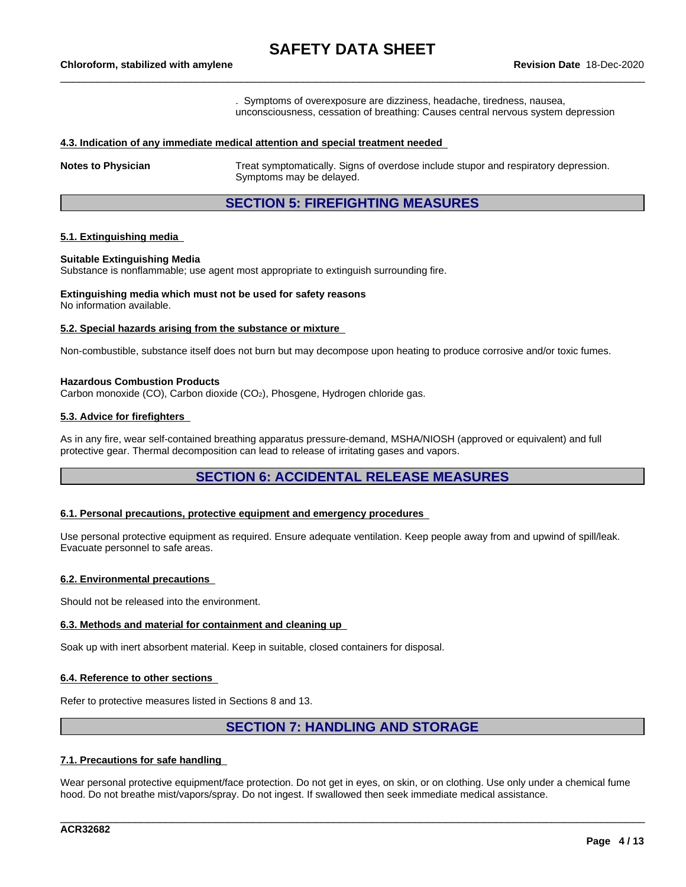. Symptoms of overexposure are dizziness, headache, tiredness, nausea, unconsciousness, cessation of breathing: Causes central nervous system depression

#### **4.3. Indication of any immediate medical attention and special treatment needed**

**Notes to Physician** Treat symptomatically. Signs of overdose include stupor and respiratory depression. Symptoms may be delayed.

## **SECTION 5: FIREFIGHTING MEASURES**

#### **5.1. Extinguishing media**

#### **Suitable Extinguishing Media**

Substance is nonflammable; use agent most appropriate to extinguish surrounding fire.

#### **Extinguishing media which must not be used for safety reasons** No information available.

## **5.2. Special hazards arising from the substance or mixture**

Non-combustible, substance itself does not burn but may decompose upon heating to produce corrosive and/or toxic fumes.

#### **Hazardous Combustion Products**

Carbon monoxide (CO), Carbon dioxide (CO2), Phosgene, Hydrogen chloride gas.

#### **5.3. Advice for firefighters**

As in any fire, wear self-contained breathing apparatus pressure-demand, MSHA/NIOSH (approved or equivalent) and full protective gear. Thermal decomposition can lead to release of irritating gases and vapors.

### **SECTION 6: ACCIDENTAL RELEASE MEASURES**

#### **6.1. Personal precautions, protective equipment and emergency procedures**

Use personal protective equipment as required. Ensure adequate ventilation. Keep people away from and upwind of spill/leak. Evacuate personnel to safe areas.

#### **6.2. Environmental precautions**

Should not be released into the environment.

#### **6.3. Methods and material for containment and cleaning up**

Soak up with inert absorbent material. Keep in suitable, closed containers for disposal.

#### **6.4. Reference to other sections**

Refer to protective measures listed in Sections 8 and 13.

## **SECTION 7: HANDLING AND STORAGE**

#### **7.1. Precautions for safe handling**

Wear personal protective equipment/face protection. Do not get in eyes, on skin, or on clothing. Use only under a chemical fume hood. Do not breathe mist/vapors/spray. Do not ingest. If swallowed then seek immediate medical assistance.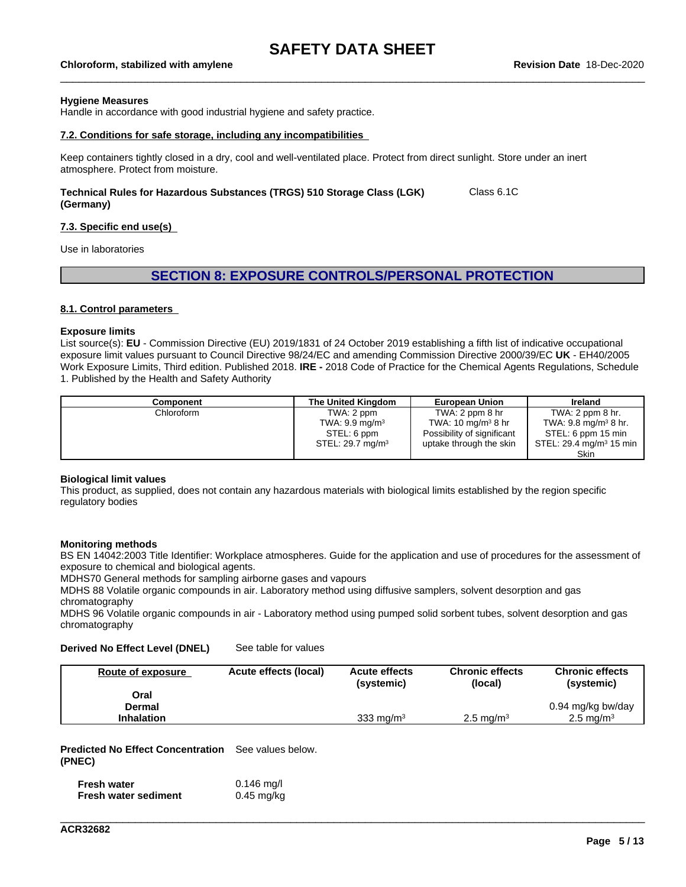## \_\_\_\_\_\_\_\_\_\_\_\_\_\_\_\_\_\_\_\_\_\_\_\_\_\_\_\_\_\_\_\_\_\_\_\_\_\_\_\_\_\_\_\_\_\_\_\_\_\_\_\_\_\_\_\_\_\_\_\_\_\_\_\_\_\_\_\_\_\_\_\_\_\_\_\_\_\_\_\_\_\_\_\_\_\_\_\_\_\_\_\_\_\_ **Chloroform, stabilized with amylene Revision Date** 18-Dec-2020

#### **Hygiene Measures**

Handle in accordance with good industrial hygiene and safety practice.

#### **7.2. Conditions for safe storage, including any incompatibilities**

Keep containers tightly closed in a dry, cool and well-ventilated place. Protect from direct sunlight. Store under an inert atmosphere. Protect from moisture.

#### **Technical Rules for Hazardous Substances (TRGS) 510 Storage Class (LGK) (Germany)** Class 6.1C

#### **7.3. Specific end use(s)**

Use in laboratories

### **SECTION 8: EXPOSURE CONTROLS/PERSONAL PROTECTION**

#### **8.1. Control parameters**

#### **Exposure limits**

List source(s): **EU** - Commission Directive (EU) 2019/1831 of 24 October 2019 establishing a fifth list ofindicative occupational exposure limit values pursuant to Council Directive 98/24/EC and amending Commission Directive 2000/39/EC UK - EH40/2005 Work Exposure Limits, Third edition. Published 2018. **IRE -** 2018 Code of Practice for the Chemical Agents Regulations, Schedule 1. Published by the Health and Safety Authority

| Component  | The United Kingdom        | <b>European Union</b>          | <b>Ireland</b>                           |
|------------|---------------------------|--------------------------------|------------------------------------------|
| Chloroform | TWA: 2 ppm                | TWA: 2 ppm 8 hr                | TWA: $2$ ppm $8$ hr.                     |
|            | TWA: $9.9 \text{ mg/m}^3$ | TWA: 10 mg/m <sup>3</sup> 8 hr | TWA: $9.8 \text{ mg/m}^3 8 \text{ hr}$ . |
|            | STEL: 6 ppm               | Possibility of significant     | STEL: 6 ppm 15 min                       |
|            | STEL: 29.7 $mq/m3$        | uptake through the skin        | STEL: 29.4 mg/m <sup>3</sup> 15 min      |
|            |                           |                                | Skin                                     |

#### **Biological limit values**

This product, as supplied, does not contain any hazardous materials with biological limits established by the region specific regulatory bodies

#### **Monitoring methods**

BS EN 14042:2003 Title Identifier: Workplace atmospheres. Guide for the application and use of procedures for the assessment of exposure to chemical and biological agents.

MDHS70 General methods for sampling airborne gases and vapours

MDHS 88 Volatile organic compounds in air. Laboratory method using diffusive samplers, solvent desorption and gas chromatography

MDHS 96 Volatile organic compounds in air - Laboratory method using pumped solid sorbent tubes, solvent desorption and gas chromatography

#### **Derived No Effect Level (DNEL)** See table for values

| Route of exposure | Acute effects (local) | <b>Acute effects</b><br>(systemic) | <b>Chronic effects</b><br>(local) | <b>Chronic effects</b><br>(systemic) |
|-------------------|-----------------------|------------------------------------|-----------------------------------|--------------------------------------|
| Oral              |                       |                                    |                                   |                                      |
| Dermal            |                       |                                    |                                   | 0.94 mg/kg bw/day                    |
| <b>Inhalation</b> |                       | 333 mg/ $m3$                       | $2.5 \text{ ma/m}^3$              | $2.5 \,\mathrm{mq/m^3}$              |

\_\_\_\_\_\_\_\_\_\_\_\_\_\_\_\_\_\_\_\_\_\_\_\_\_\_\_\_\_\_\_\_\_\_\_\_\_\_\_\_\_\_\_\_\_\_\_\_\_\_\_\_\_\_\_\_\_\_\_\_\_\_\_\_\_\_\_\_\_\_\_\_\_\_\_\_\_\_\_\_\_\_\_\_\_\_\_\_\_\_\_\_\_\_

**Predicted No Effect Concentration** See values below. **(PNEC)**

| <b>Fresh water</b>          | $0.146$ mg/l |
|-----------------------------|--------------|
| <b>Fresh water sediment</b> | $0.45$ mg/kg |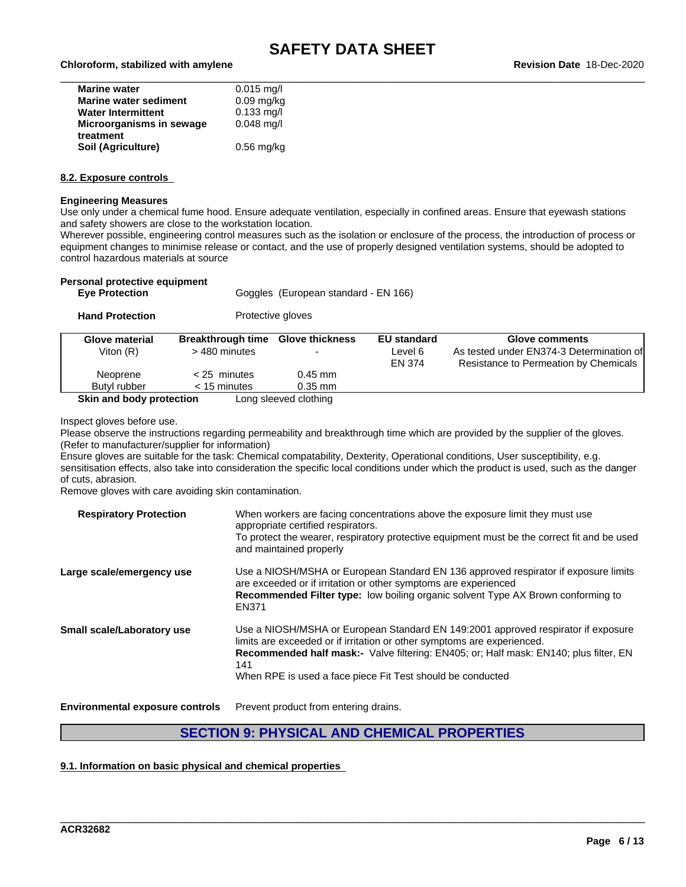| <b>Marine water</b>          | $0.015$ mg/l |
|------------------------------|--------------|
| <b>Marine water sediment</b> | $0.09$ mg/kg |
| <b>Water Intermittent</b>    | $0.133$ mg/l |
| Microorganisms in sewage     | $0.048$ mg/l |
| treatment                    |              |
| Soil (Agriculture)           | $0.56$ mg/kg |

#### **8.2. Exposure controls**

#### **Engineering Measures**

Use only under a chemical fume hood. Ensure adequate ventilation, especially in confined areas. Ensure that eyewash stations and safety showers are close to the workstation location.

Wherever possible, engineering control measures such as the isolation or enclosure of the process, the introduction of process or equipment changes to minimise release or contact, and the use of properly designed ventilation systems, should be adopted to control hazardous materials at source

| Personal protective equipment<br><b>Eye Protection</b> |                                           | Goggles (European standard - EN 166) |                                         |                                                                                                     |
|--------------------------------------------------------|-------------------------------------------|--------------------------------------|-----------------------------------------|-----------------------------------------------------------------------------------------------------|
| <b>Hand Protection</b>                                 |                                           | Protective gloves                    |                                         |                                                                                                     |
| <b>Glove material</b><br>Viton $(R)$                   | <b>Breakthrough time</b><br>> 480 minutes | <b>Glove thickness</b>               | <b>EU standard</b><br>Level 6<br>EN 374 | Glove comments<br>As tested under EN374-3 Determination of<br>Resistance to Permeation by Chemicals |
| Neoprene<br>Butyl rubber                               | $<$ 25 minutes<br>$<$ 15 minutes          | $0.45$ mm<br>$0.35$ mm               |                                         |                                                                                                     |

**Skin and body protection** Long sleeved clothing

Inspect gloves before use.

Please observe the instructions regarding permeability and breakthrough time which are provided by the supplier of the gloves. (Refer to manufacturer/supplier for information)

Ensure gloves are suitable for the task: Chemical compatability, Dexterity, Operational conditions, User susceptibility, e.g. sensitisation effects, also take into consideration the specific local conditions under which the product is used, such as the danger of cuts, abrasion.

Remove gloves with care avoiding skin contamination.

| <b>Respiratory Protection</b> | When workers are facing concentrations above the exposure limit they must use<br>appropriate certified respirators.<br>To protect the wearer, respiratory protective equipment must be the correct fit and be used<br>and maintained properly                                                                              |
|-------------------------------|----------------------------------------------------------------------------------------------------------------------------------------------------------------------------------------------------------------------------------------------------------------------------------------------------------------------------|
| Large scale/emergency use     | Use a NIOSH/MSHA or European Standard EN 136 approved respirator if exposure limits<br>are exceeded or if irritation or other symptoms are experienced<br><b>Recommended Filter type:</b> low boiling organic solvent Type AX Brown conforming to<br>EN371                                                                 |
| Small scale/Laboratory use    | Use a NIOSH/MSHA or European Standard EN 149:2001 approved respirator if exposure<br>limits are exceeded or if irritation or other symptoms are experienced.<br>Recommended half mask:- Valve filtering: EN405; or; Half mask: EN140; plus filter, EN<br>141<br>When RPE is used a face piece Fit Test should be conducted |

**Environmental exposure controls** Prevent product from entering drains.

## **SECTION 9: PHYSICAL AND CHEMICAL PROPERTIES**

\_\_\_\_\_\_\_\_\_\_\_\_\_\_\_\_\_\_\_\_\_\_\_\_\_\_\_\_\_\_\_\_\_\_\_\_\_\_\_\_\_\_\_\_\_\_\_\_\_\_\_\_\_\_\_\_\_\_\_\_\_\_\_\_\_\_\_\_\_\_\_\_\_\_\_\_\_\_\_\_\_\_\_\_\_\_\_\_\_\_\_\_\_\_

#### **9.1. Information on basic physical and chemical properties**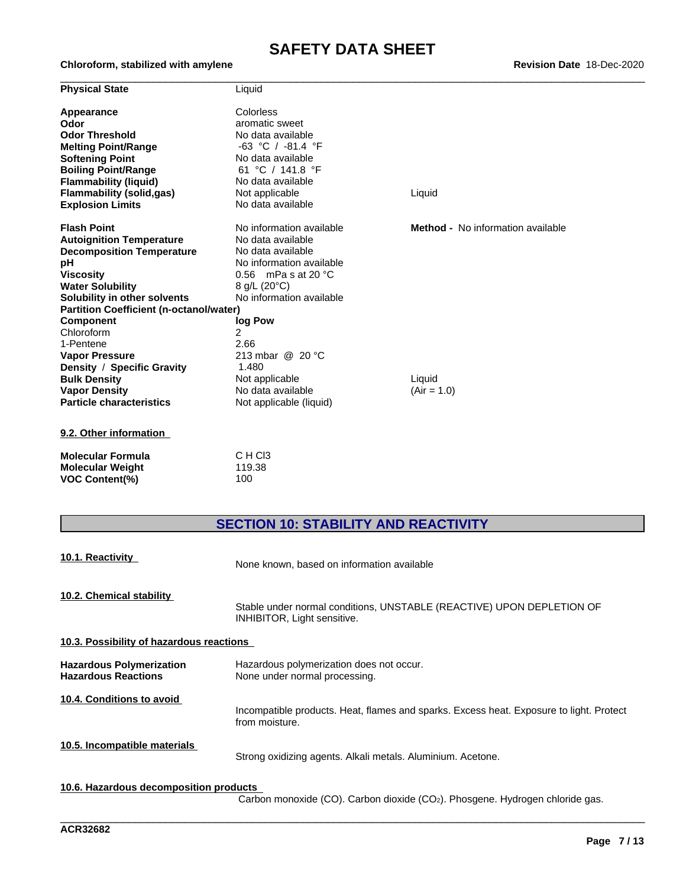| <b>Revision Date 18-Dec-2020</b> |  |
|----------------------------------|--|
|----------------------------------|--|

| <b>Physical State</b>                          | Liquid                        |                                          |
|------------------------------------------------|-------------------------------|------------------------------------------|
| Appearance                                     | Colorless                     |                                          |
| Odor                                           | aromatic sweet                |                                          |
| <b>Odor Threshold</b>                          | No data available             |                                          |
| <b>Melting Point/Range</b>                     | $-63$ °C / $-81.4$ °F         |                                          |
| <b>Softening Point</b>                         | No data available             |                                          |
| <b>Boiling Point/Range</b>                     | 61 °C / 141.8 °F              |                                          |
| <b>Flammability (liquid)</b>                   | No data available             |                                          |
| <b>Flammability (solid,gas)</b>                | Not applicable                | Liquid                                   |
| <b>Explosion Limits</b>                        | No data available             |                                          |
| <b>Flash Point</b>                             | No information available      | <b>Method -</b> No information available |
| <b>Autoignition Temperature</b>                | No data available             |                                          |
| <b>Decomposition Temperature</b>               | No data available             |                                          |
| рH                                             | No information available      |                                          |
| <b>Viscosity</b>                               | 0.56 mPa s at 20 $^{\circ}$ C |                                          |
| <b>Water Solubility</b>                        | 8 g/L (20°C)                  |                                          |
| Solubility in other solvents                   | No information available      |                                          |
| <b>Partition Coefficient (n-octanol/water)</b> |                               |                                          |
| <b>Component</b>                               | log Pow                       |                                          |
| Chloroform                                     | $\overline{2}$                |                                          |
| 1-Pentene                                      | 2.66                          |                                          |
| <b>Vapor Pressure</b>                          | 213 mbar @ 20 °C              |                                          |
| Density / Specific Gravity                     | 1.480                         |                                          |
| <b>Bulk Density</b>                            | Not applicable                | Liquid                                   |
| <b>Vapor Density</b>                           | No data available             | $(Air = 1.0)$                            |
| <b>Particle characteristics</b>                | Not applicable (liquid)       |                                          |
| 9.2. Other information                         |                               |                                          |
| <b>Molecular Formula</b>                       | C H C <sub>13</sub>           |                                          |

| Molecular Formula       | U H UI3 |
|-------------------------|---------|
| <b>Molecular Weight</b> | 119.38  |
| <b>VOC Content(%)</b>   | 100     |

 $Chloroform, stabilized with amylene$ 

## **SECTION 10: STABILITY AND REACTIVITY**

| 10.1. Reactivity                                              | None known, based on information available                                                                |
|---------------------------------------------------------------|-----------------------------------------------------------------------------------------------------------|
| 10.2. Chemical stability                                      | Stable under normal conditions, UNSTABLE (REACTIVE) UPON DEPLETION OF<br>INHIBITOR, Light sensitive.      |
| 10.3. Possibility of hazardous reactions                      |                                                                                                           |
| <b>Hazardous Polymerization</b><br><b>Hazardous Reactions</b> | Hazardous polymerization does not occur.<br>None under normal processing.                                 |
| 10.4. Conditions to avoid                                     | Incompatible products. Heat, flames and sparks. Excess heat. Exposure to light. Protect<br>from moisture. |
| 10.5. Incompatible materials                                  | Strong oxidizing agents. Alkali metals. Aluminium. Acetone.                                               |
| 10.6. Hazardous decomposition products                        |                                                                                                           |

Carbon monoxide (CO). Carbon dioxide (CO2). Phosgene. Hydrogen chloride gas.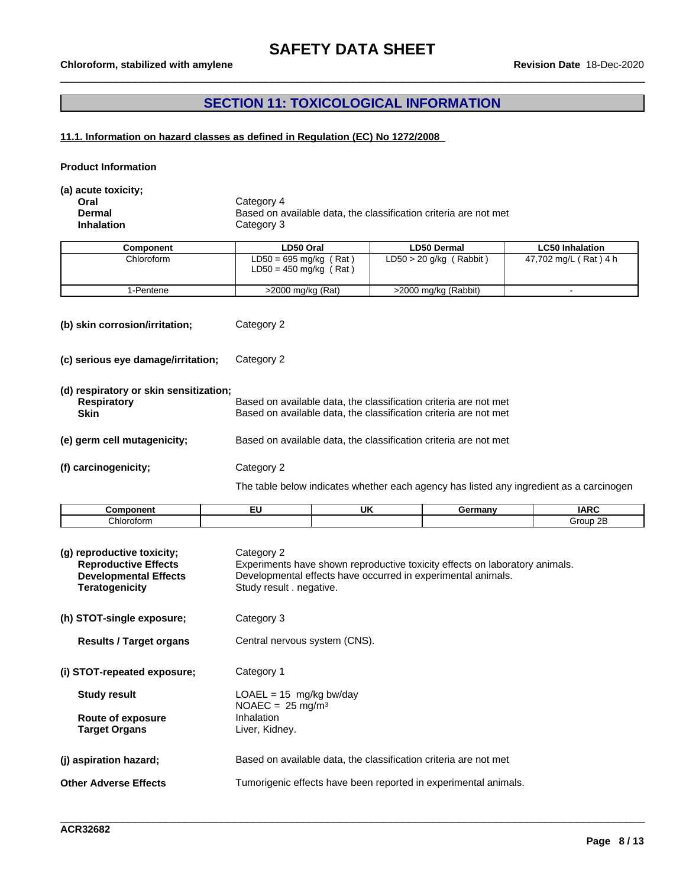## **SECTION 11: TOXICOLOGICAL INFORMATION**

### **11.1. Information on hazard classes as defined in Regulation (EC) No 1272/2008**

**Product Information**

**(a) acute toxicity;**

**Oral** Category 4 **Dermal** Based on available data, the classification criteria are not met<br> **Inhalation** Category 3 **Category 3** 

| Component  | LD50 Oral                                            | LD50 Dermal               | <b>LC50 Inhalation</b> |
|------------|------------------------------------------------------|---------------------------|------------------------|
| Chloroform | $LD50 = 695$ mg/kg (Rat)<br>$LD50 = 450$ mg/kg (Rat) | $LD50 > 20$ g/kg (Rabbit) | 47,702 mg/L (Rat) 4 h  |
| l-Pentene  | >2000 mg/kg (Rat)                                    | >2000 mg/kg (Rabbit)      |                        |

**(b) skin corrosion/irritation;** Category 2

**(c) serious eye damage/irritation;** Category 2

| (d) respiratory or skin sensitization;<br><b>Respiratory</b><br><b>Skin</b> | Based on available data, the classification criteria are not met<br>Based on available data, the classification criteria are not met |
|-----------------------------------------------------------------------------|--------------------------------------------------------------------------------------------------------------------------------------|
| (e) germ cell mutagenicity;                                                 | Based on available data, the classification criteria are not met                                                                     |
| (f) carcinogenicity;                                                        | Category 2                                                                                                                           |

The table below indicates whether each agency has listed any ingredient as a carcinogen

| Component  | $- -$<br>-- | UK | Germany | <b>IADC</b><br>יירו            |
|------------|-------------|----|---------|--------------------------------|
| Chloroform |             |    |         | $\sim$ $\sim$<br>Group<br>- ZE |

| (g) reproductive toxicity;<br><b>Reproductive Effects</b><br><b>Developmental Effects</b><br>Teratogenicity | Category 2<br>Experiments have shown reproductive toxicity effects on laboratory animals.<br>Developmental effects have occurred in experimental animals.<br>Study result . negative. |
|-------------------------------------------------------------------------------------------------------------|---------------------------------------------------------------------------------------------------------------------------------------------------------------------------------------|
| (h) STOT-single exposure;                                                                                   | Category 3                                                                                                                                                                            |
| <b>Results / Target organs</b>                                                                              | Central nervous system (CNS).                                                                                                                                                         |
| (i) STOT-repeated exposure;                                                                                 | Category 1                                                                                                                                                                            |
| <b>Study result</b><br>Route of exposure<br><b>Target Organs</b>                                            | $LOAEL = 15$ mg/kg bw/day<br>$NOAEC = 25$ mg/m <sup>3</sup><br>Inhalation<br>Liver, Kidney.                                                                                           |
| (j) aspiration hazard;                                                                                      | Based on available data, the classification criteria are not met                                                                                                                      |
| <b>Other Adverse Effects</b>                                                                                | Tumorigenic effects have been reported in experimental animals.                                                                                                                       |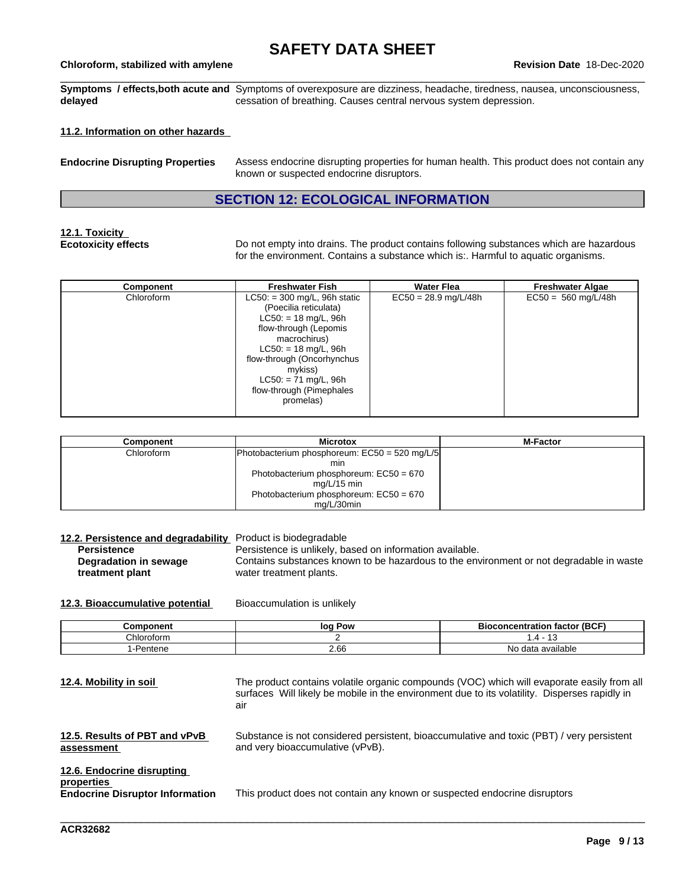## \_\_\_\_\_\_\_\_\_\_\_\_\_\_\_\_\_\_\_\_\_\_\_\_\_\_\_\_\_\_\_\_\_\_\_\_\_\_\_\_\_\_\_\_\_\_\_\_\_\_\_\_\_\_\_\_\_\_\_\_\_\_\_\_\_\_\_\_\_\_\_\_\_\_\_\_\_\_\_\_\_\_\_\_\_\_\_\_\_\_\_\_\_\_ **Chloroform, stabilized with amylene Revision Date** 18-Dec-2020

**Symptoms / effects,both acute and** Symptoms of overexposure are dizziness, headache, tiredness, nausea, unconsciousness, **delayed** cessation of breathing. Causes central nervous system depression.

#### **11.2. Information on other hazards**

| <b>Endocrine Disrupting Properties</b> | Assess endocrine disrupting properties for human health. This product does not contain any<br>known or suspected endocrine disruptors. |
|----------------------------------------|----------------------------------------------------------------------------------------------------------------------------------------|
|                                        |                                                                                                                                        |

## **SECTION 12: ECOLOGICAL INFORMATION**

## **12.1. Toxicity**

**Ecotoxicity effects** Do not empty into drains. The product contains following substances which are hazardous for the environment. Contains a substance which is:. Harmful to aquatic organisms.

| Component  | <b>Freshwater Fish</b>                                                                                                                                                                                                                                           | <b>Water Flea</b>      | <b>Freshwater Algae</b> |
|------------|------------------------------------------------------------------------------------------------------------------------------------------------------------------------------------------------------------------------------------------------------------------|------------------------|-------------------------|
| Chloroform | $LC50: = 300$ mg/L, 96h static<br>(Poecilia reticulata)<br>$LC50: = 18$ mg/L, 96h<br>flow-through (Lepomis<br>macrochirus)<br>$LC50: = 18$ mg/L, 96h<br>flow-through (Oncorhynchus<br>mykiss)<br>$LC50: = 71$ mg/L, 96h<br>flow-through (Pimephales<br>promelas) | $EC50 = 28.9$ mg/L/48h | $EC50 = 560$ mg/L/48h   |

| Component  | <b>Microtox</b>                               | <b>M-Factor</b> |
|------------|-----------------------------------------------|-----------------|
| Chloroform | Photobacterium phosphoreum: EC50 = 520 mg/L/5 |                 |
|            | mın                                           |                 |
|            | Photobacterium phosphoreum: $EC50 = 670$      |                 |
|            | mg/L/15 min                                   |                 |
|            | Photobacterium phosphoreum: EC50 = 670        |                 |
|            | mg/L/30min                                    |                 |

| 12.2. Persistence and degradability<br><b>Persistence</b><br>Degradation in sewage<br>treatment plant | Product is biodegradable<br>Persistence is unlikely, based on information available.<br>water treatment plants. | Contains substances known to be hazardous to the environment or not degradable in waste                                                                                                     |
|-------------------------------------------------------------------------------------------------------|-----------------------------------------------------------------------------------------------------------------|---------------------------------------------------------------------------------------------------------------------------------------------------------------------------------------------|
| 12.3. Bioaccumulative potential                                                                       | Bioaccumulation is unlikely                                                                                     |                                                                                                                                                                                             |
| Component                                                                                             | log Pow                                                                                                         | <b>Bioconcentration factor (BCF)</b>                                                                                                                                                        |
| Chloroform                                                                                            | 2                                                                                                               | $1.4 - 13$                                                                                                                                                                                  |
| 1-Pentene                                                                                             | 2.66                                                                                                            | No data available                                                                                                                                                                           |
| 12.4. Mobility in soil                                                                                | air                                                                                                             | The product contains volatile organic compounds (VOC) which will evaporate easily from all<br>surfaces Will likely be mobile in the environment due to its volatility. Disperses rapidly in |
| 12.5. Results of PBT and vPvB<br>assessment                                                           | and very bioaccumulative (vPvB).                                                                                | Substance is not considered persistent, bioaccumulative and toxic (PBT) / very persistent                                                                                                   |
| 12.6. Endocrine disrupting<br>properties<br><b>Endocrine Disruptor Information</b>                    | This product does not contain any known or suspected endocrine disruptors                                       |                                                                                                                                                                                             |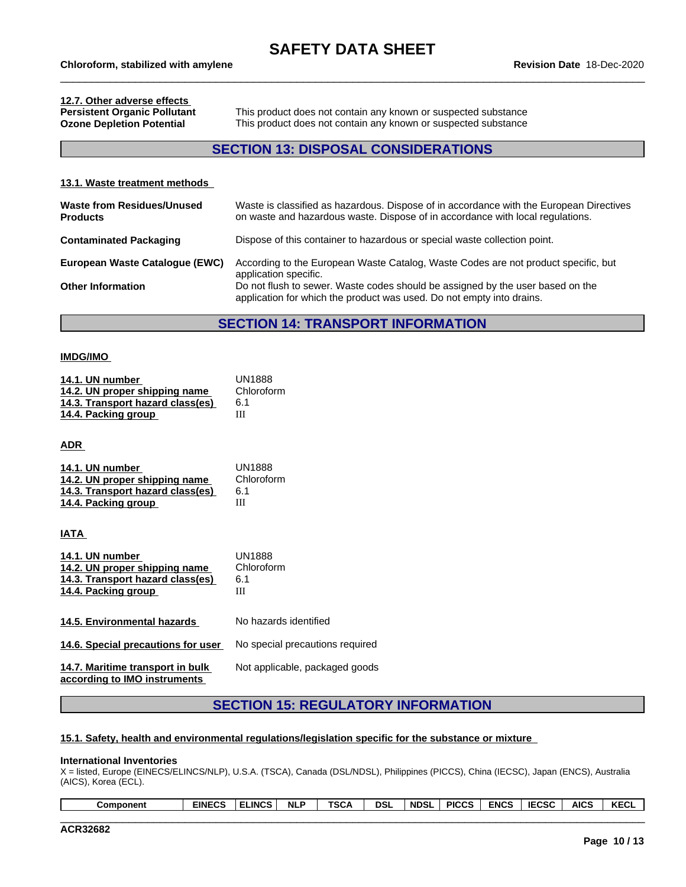# **12.7. Other adverse effects**

**Persistent Organic Pollutant** This product does not contain any known or suspected substance **Ozone Depletion Potential** This product does not contain any known or suspected substance

## **SECTION 13: DISPOSAL CONSIDERATIONS**

### **13.1. Waste treatment methods Waste from Residues/Unused Products** Waste is classified as hazardous. Dispose of in accordance with the European Directives on waste and hazardous waste. Dispose of in accordance with local regulations. **Contaminated Packaging** Dispose of this container to hazardous or special waste collection point. **European Waste Catalogue (EWC)** According to the European Waste Catalog, Waste Codes are not product specific, but application specific. **Other Information** Do not flush to sewer. Waste codes should be assigned by the user based on the application for which the product was used. Do not empty into drains.

### **SECTION 14: TRANSPORT INFORMATION**

#### **IMDG/IMO**

| 14.1. UN number<br>14.2. UN proper shipping name<br>14.3. Transport hazard class(es)<br>14.4. Packing group | <b>UN1888</b><br>Chloroform<br>6.1<br>Ш |
|-------------------------------------------------------------------------------------------------------------|-----------------------------------------|
| ADR                                                                                                         |                                         |
| 14.1. UN number<br>14.2. UN proper shipping name<br>14.3. Transport hazard class(es)<br>14.4. Packing group | <b>UN1888</b><br>Chloroform<br>6.1<br>Ш |
| IATA                                                                                                        |                                         |
| 14.1. UN number<br>14.2. UN proper shipping name<br>14.3. Transport hazard class(es)<br>14.4. Packing group | <b>UN1888</b><br>Chloroform<br>6.1<br>Ш |
| 14.5. Environmental hazards                                                                                 | No hazards identified                   |
| 14.6. Special precautions for user                                                                          | No special precautions required         |
| 14.7. Maritime transport in bulk<br>according to IMO instruments                                            | Not applicable, packaged goods          |

## **SECTION 15: REGULATORY INFORMATION**

#### **15.1. Safety, health and environmental regulations/legislation specific for the substance or mixture**

#### **International Inventories**

X = listed, Europe (EINECS/ELINCS/NLP), U.S.A. (TSCA), Canada (DSL/NDSL), Philippines (PICCS), China (IECSC), Japan (ENCS), Australia (AICS), Korea (ECL).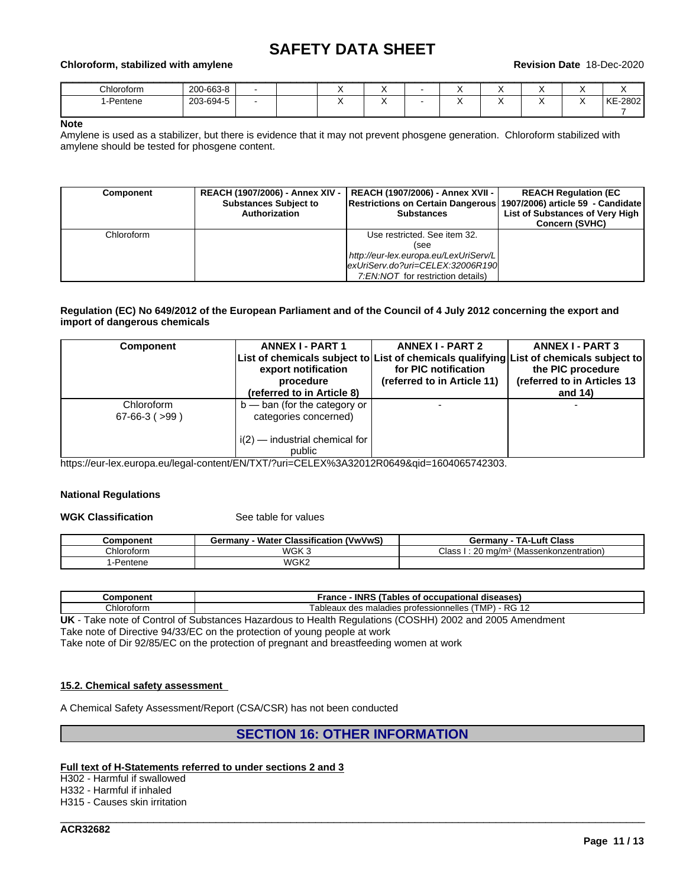## \_\_\_\_\_\_\_\_\_\_\_\_\_\_\_\_\_\_\_\_\_\_\_\_\_\_\_\_\_\_\_\_\_\_\_\_\_\_\_\_\_\_\_\_\_\_\_\_\_\_\_\_\_\_\_\_\_\_\_\_\_\_\_\_\_\_\_\_\_\_\_\_\_\_\_\_\_\_\_\_\_\_\_\_\_\_\_\_\_\_\_\_\_\_ **Chloroform, stabilized with amylene Revision Date** 18-Dec-2020

| Chloroform     | 200-663-8 |  |  |     | . . |                            |               |
|----------------|-----------|--|--|-----|-----|----------------------------|---------------|
| 1-Pentene<br>. | 203-694-5 |  |  | . . | . . | $\sim$ $\sim$<br>$\lambda$ | KE<br>$-2802$ |
|                |           |  |  |     |     |                            |               |

#### **Note**

Amylene is used as a stabilizer, but there is evidence that it may not prevent phosgene generation.Chloroform stabilized with amylene should be tested for phosgene content.

| <b>Component</b> | REACH (1907/2006) - Annex XIV -<br><b>Substances Subject to</b><br>Authorization | REACH (1907/2006) - Annex XVII -  <br> Restrictions on Certain Dangerous   1907/2006) article 59 - Candidate  <br><b>Substances</b> | <b>REACH Regulation (EC</b><br>List of Substances of Very High<br><b>Concern (SVHC)</b> |
|------------------|----------------------------------------------------------------------------------|-------------------------------------------------------------------------------------------------------------------------------------|-----------------------------------------------------------------------------------------|
| Chloroform       |                                                                                  | Use restricted. See item 32.                                                                                                        |                                                                                         |
|                  |                                                                                  | (see                                                                                                                                |                                                                                         |
|                  |                                                                                  | http://eur-lex.europa.eu/LexUriServ/L                                                                                               |                                                                                         |
|                  |                                                                                  | exUriServ.do?uri=CELEX:32006R190                                                                                                    |                                                                                         |
|                  |                                                                                  | 7.EN.NOT for restriction details)                                                                                                   |                                                                                         |

#### Regulation (EC) No 649/2012 of the European Parliament and of the Council of 4 July 2012 concerning the export and **import of dangerous chemicals**

| Component                              | <b>ANNEX I - PART 1</b><br>List of chemicals subject to List of chemicals qualifying List of chemicals subject to<br>export notification<br>procedure<br>(referred to in Article 8) | <b>ANNEX I - PART 2</b><br>for PIC notification<br>(referred to in Article 11) | <b>ANNEX I - PART 3</b><br>the PIC procedure<br>(referred to in Articles 13<br>and $14$ ) |
|----------------------------------------|-------------------------------------------------------------------------------------------------------------------------------------------------------------------------------------|--------------------------------------------------------------------------------|-------------------------------------------------------------------------------------------|
| Chloroform<br>$67 - 66 - 3$ ( $> 99$ ) | $b$ — ban (for the category or<br>categories concerned)<br>$i(2)$ — industrial chemical for<br>public                                                                               |                                                                                |                                                                                           |

https://eur-lex.europa.eu/legal-content/EN/TXT/?uri=CELEX%3A32012R0649&qid=1604065742303.

#### **National Regulations**

#### **WGK Classification** See table for values

| <b>Component</b> | <b>(VwVwS)</b><br><b>Water Classification</b><br>ermanvٿ | Luft Class<br>TA-I<br>Germanv                 |
|------------------|----------------------------------------------------------|-----------------------------------------------|
| ∩hloroform       | WGK 3                                                    | Class<br>ma/m·<br>(Massenkonzentration)<br>∠∪ |
| 1-Pentene        | WGK2                                                     |                                               |

| .<br>ш<br>ет        | <b>INRS</b><br>$\overline{\phantom{a}}$<br>rance<br>diseases<br>occupational<br>ables<br>О                                         |
|---------------------|------------------------------------------------------------------------------------------------------------------------------------|
| Chlor<br>.<br>oforr | DC.<br>$\cdots$<br>$\sim$<br>$\overline{\phantom{a}}$<br>nnelles<br>ableaux<br>otess<br>nro<br>aaladies:<br>∣M⊬<br>R<br>uca<br>. . |

**UK** - Take note of Control of Substances Hazardous to Health Regulations (COSHH) 2002 and 2005 Amendment

Take note of Directive 94/33/EC on the protection of young people at work

Take note of Dir 92/85/EC on the protection of pregnant and breastfeeding women at work

#### **15.2. Chemical safety assessment**

A Chemical Safety Assessment/Report (CSA/CSR) has not been conducted

## **SECTION 16: OTHER INFORMATION**

\_\_\_\_\_\_\_\_\_\_\_\_\_\_\_\_\_\_\_\_\_\_\_\_\_\_\_\_\_\_\_\_\_\_\_\_\_\_\_\_\_\_\_\_\_\_\_\_\_\_\_\_\_\_\_\_\_\_\_\_\_\_\_\_\_\_\_\_\_\_\_\_\_\_\_\_\_\_\_\_\_\_\_\_\_\_\_\_\_\_\_\_\_\_

#### **Full text of H-Statements referred to undersections 2 and 3**

H302 - Harmful if swallowed H332 - Harmful if inhaled H315 - Causes skin irritation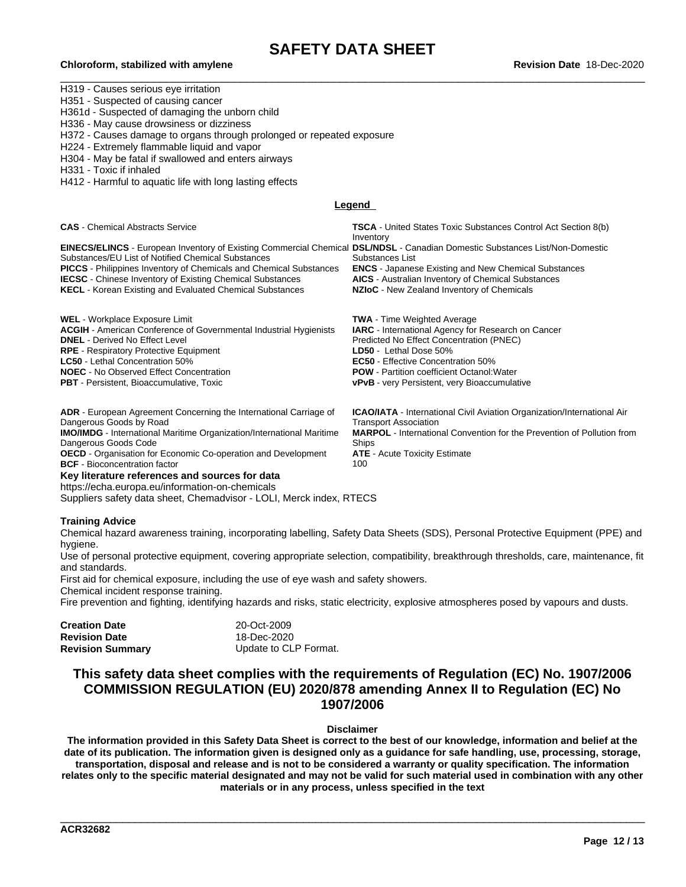## \_\_\_\_\_\_\_\_\_\_\_\_\_\_\_\_\_\_\_\_\_\_\_\_\_\_\_\_\_\_\_\_\_\_\_\_\_\_\_\_\_\_\_\_\_\_\_\_\_\_\_\_\_\_\_\_\_\_\_\_\_\_\_\_\_\_\_\_\_\_\_\_\_\_\_\_\_\_\_\_\_\_\_\_\_\_\_\_\_\_\_\_\_\_ **Chloroform, stabilized with amylene Revision Date** 18-Dec-2020

H319 - Causes serious eye irritation H351 - Suspected of causing cancer H361d - Suspected of damaging the unborn child H336 - May cause drowsiness or dizziness H372 - Causes damage to organs through prolonged or repeated exposure H224 - Extremely flammable liquid and vapor H304 - May be fatal if swallowed and enters airways H331 - Toxic if inhaled H412 - Harmful to aquatic life with long lasting effects **Legend Key literature references and sources for data** https://echa.europa.eu/information-on-chemicals Suppliers safety data sheet, Chemadvisor - LOLI, Merck index, RTECS **Training Advice** Chemical hazard awareness training, incorporating labelling, Safety Data Sheets (SDS), Personal Protective Equipment (PPE) and hygiene. **CAS** - Chemical Abstracts Service **TSCA** - United States Toxic Substances Control Act Section 8(b) Inventory **EINECS/ELINCS** - European Inventory of Existing Commercial Chemical Substances/EU List of Notified Chemical Substances **DSL/NDSL** - Canadian Domestic Substances List/Non-Domestic Substances List **PICCS** - Philippines Inventory of Chemicals and Chemical Substances **ENCS** - Japanese Existing and New Chemical Substances **IECSC** - Chinese Inventory of Existing Chemical Substances **AICS** - Australian Inventory of Chemical Substances<br>**KECL** - Korean Existing and Evaluated Chemical Substances **NZIoC** - New Zealand Inventory of Chemicals **KECL** - Korean Existing and Evaluated Chemical Substances WEL - Workplace Exposure Limit<br>**ACGIH** - American Conference of Governmental Industrial Hygienists **IARC -** International Agency for Research on Cancer **ACGIH - American Conference of Governmental Industrial Hygienists <b>DNEL -** Derived No Effect Level **Predicted No Effect Concentration (PNEC) RPE** - Respiratory Protective Equipment **LD50** - Lethal Dose 50% **LC50** - Lethal Concentration 50% **EC50** - Effective Concentration 50% **NOEC** - No Observed Effect Concentration **POW** - Partition coefficient Octanol: Water<br> **PBT** - Persistent, Bioaccumulative, Toxic **PBT** - **PPT** - very Persistent, very Bioaccumulative, Toxic **vPvB** - very Persistent, very Bioaccumulative **ADR** - European Agreement Concerning the International Carriage of Dangerous Goods by Road **ICAO/IATA** - International Civil Aviation Organization/International Air Transport Association **IMO/IMDG** - International Maritime Organization/International Maritime Dangerous Goods Code **MARPOL** - International Convention for the Prevention of Pollution from Ships **OECD** - Organisation for Economic Co-operation and Development **ATE** - Acute Toxicity Estimate **BCF** - Bioconcentration factor 100

Use of personal protective equipment, covering appropriate selection, compatibility, breakthrough thresholds, care, maintenance, fit and standards.

First aid for chemical exposure, including the use of eye wash and safety showers.<br>Chemical incident response training.

Fire prevention and fighting, identifying hazards and risks, static electricity, explosive atmospheres posed by vapours and dusts.

| Creation Date           | 20-Oct-2009           |  |
|-------------------------|-----------------------|--|
| Revision Date           | 18-Dec-2020           |  |
| <b>Revision Summary</b> | Update to CLP Format. |  |

## **This safety data sheet complies with the requirements of Regulation (EC) No. 1907/2006 COMMISSION REGULATION (EU) 2020/878 amending Annex II to Regulation (EC) No 1907/2006**

**Disclaimer**

The information provided in this Safety Data Sheet is correct to the best of our knowledge, information and belief at the date of its publication. The information given is designed only as a guidance for safe handling, use, processing, storage, transportation, disposal and release and is not to be considered a warranty or quality specification. The information relates only to the specific material designated and may not be valid for such material used in combination with any other **materials or in any process, unless specified in the text**